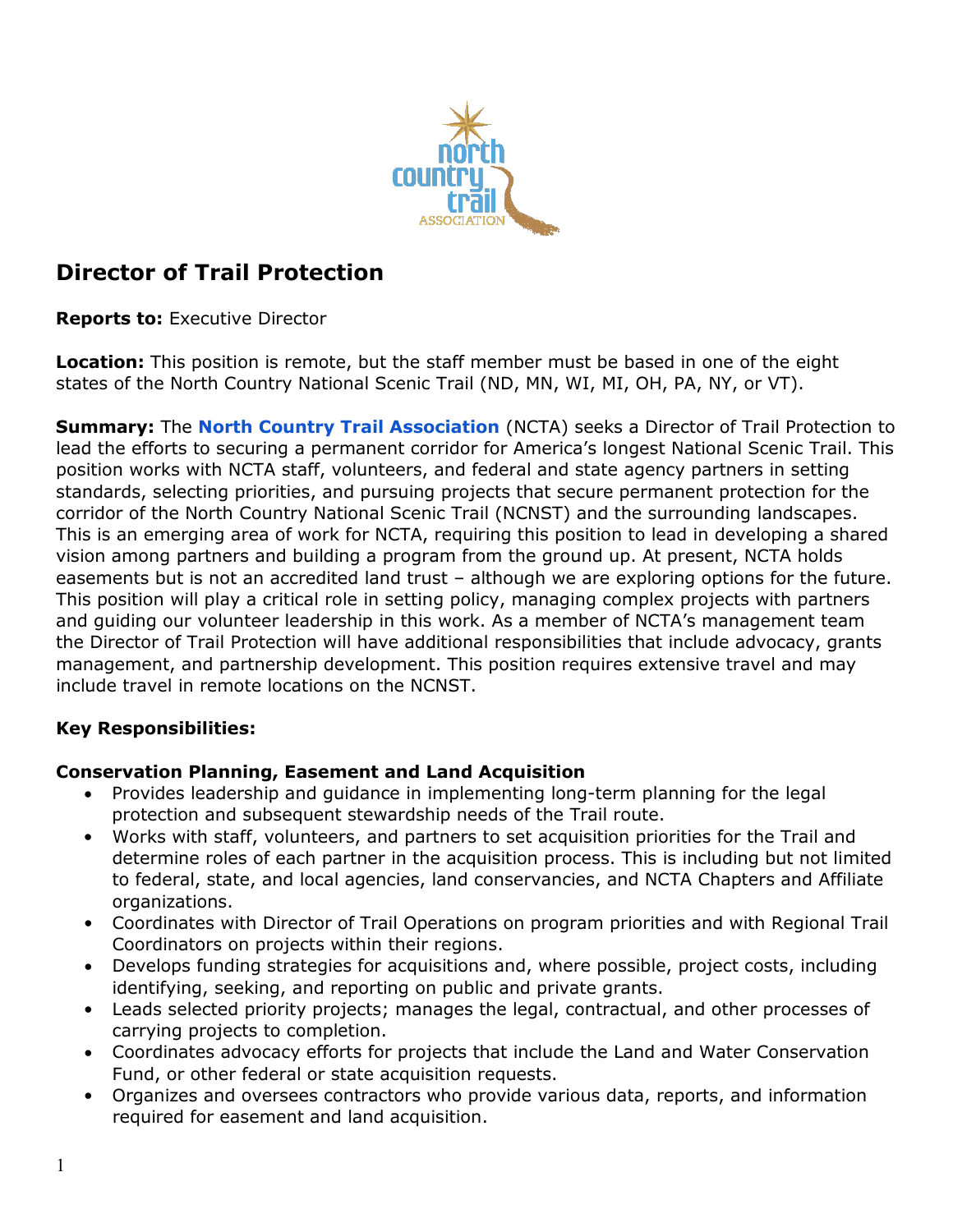

# **Director of Trail Protection**

**Reports to:** Executive Director

**Location:** This position is remote, but the staff member must be based in one of the eight states of the North Country National Scenic Trail (ND, MN, WI, MI, OH, PA, NY, or VT).

**Summary:** The **[North Country Trail Association](https://northcountrytrail.org/)** (NCTA) seeks a Director of Trail Protection to lead the efforts to securing a permanent corridor for America's longest National Scenic Trail. This position works with NCTA staff, volunteers, and federal and state agency partners in setting standards, selecting priorities, and pursuing projects that secure permanent protection for the corridor of the North Country National Scenic Trail (NCNST) and the surrounding landscapes. This is an emerging area of work for NCTA, requiring this position to lead in developing a shared vision among partners and building a program from the ground up. At present, NCTA holds easements but is not an accredited land trust – although we are exploring options for the future. This position will play a critical role in setting policy, managing complex projects with partners and guiding our volunteer leadership in this work. As a member of NCTA's management team the Director of Trail Protection will have additional responsibilities that include advocacy, grants management, and partnership development. This position requires extensive travel and may include travel in remote locations on the NCNST.

# **Key Responsibilities:**

# **Conservation Planning, Easement and Land Acquisition**

- Provides leadership and guidance in implementing long-term planning for the legal protection and subsequent stewardship needs of the Trail route.
- Works with staff, volunteers, and partners to set acquisition priorities for the Trail and determine roles of each partner in the acquisition process. This is including but not limited to federal, state, and local agencies, land conservancies, and NCTA Chapters and Affiliate organizations.
- Coordinates with Director of Trail Operations on program priorities and with Regional Trail Coordinators on projects within their regions.
- Develops funding strategies for acquisitions and, where possible, project costs, including identifying, seeking, and reporting on public and private grants.
- Leads selected priority projects; manages the legal, contractual, and other processes of carrying projects to completion.
- Coordinates advocacy efforts for projects that include the Land and Water Conservation Fund, or other federal or state acquisition requests.
- Organizes and oversees contractors who provide various data, reports, and information required for easement and land acquisition.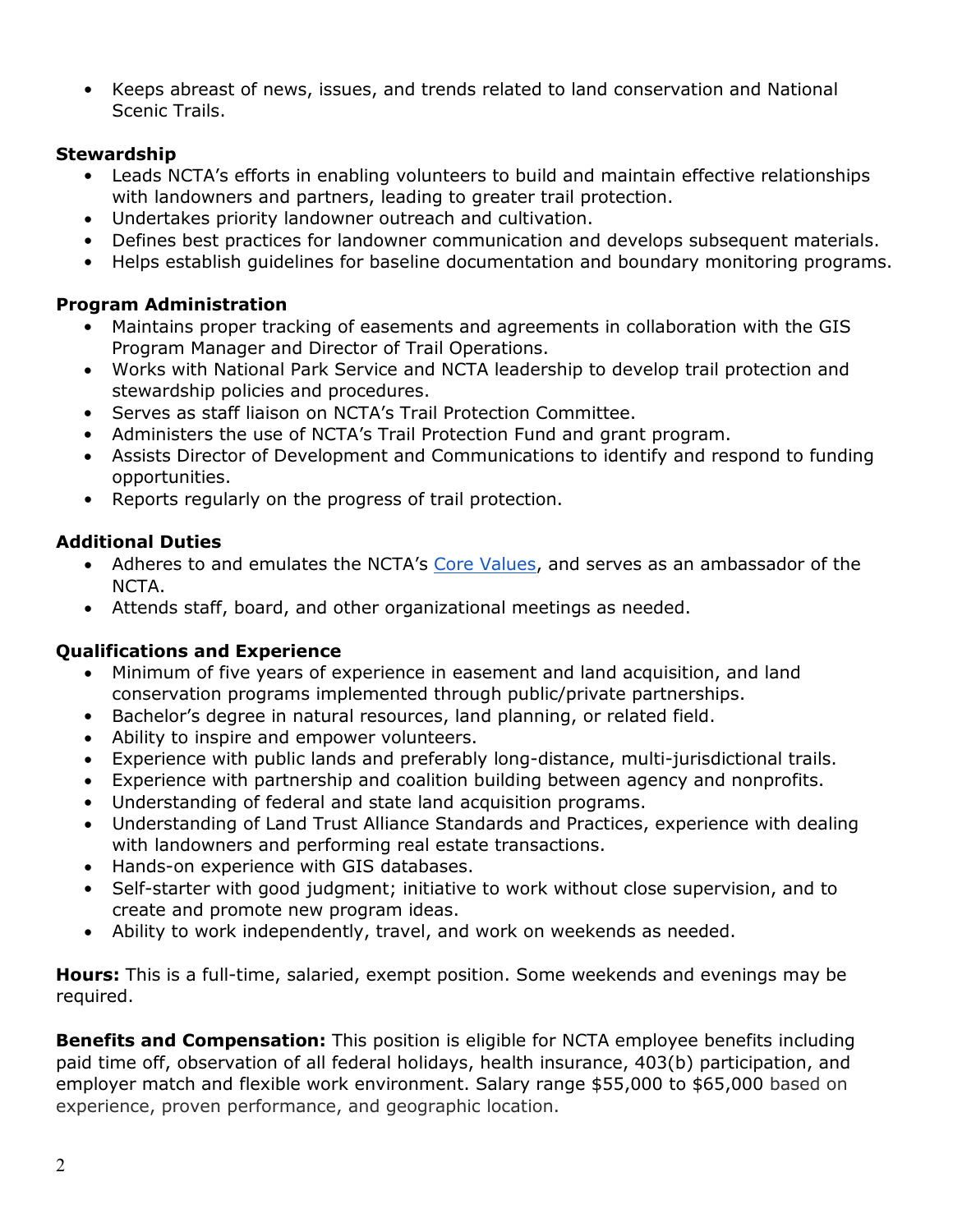• Keeps abreast of news, issues, and trends related to land conservation and National Scenic Trails.

# **Stewardship**

- Leads NCTA's efforts in enabling volunteers to build and maintain effective relationships with landowners and partners, leading to greater trail protection.
- Undertakes priority landowner outreach and cultivation.
- Defines best practices for landowner communication and develops subsequent materials.
- Helps establish guidelines for baseline documentation and boundary monitoring programs.

# **Program Administration**

- Maintains proper tracking of easements and agreements in collaboration with the GIS Program Manager and Director of Trail Operations.
- Works with National Park Service and NCTA leadership to develop trail protection and stewardship policies and procedures.
- Serves as staff liaison on NCTA's Trail Protection Committee.
- Administers the use of NCTA's Trail Protection Fund and grant program.
- Assists Director of Development and Communications to identify and respond to funding opportunities.
- Reports regularly on the progress of trail protection.

# **Additional Duties**

- Adheres to and emulates the NCTA's Core Values, and serves as an ambassador of the NCTA.
- Attends staff, board, and other organizational meetings as needed.

# **Qualifications and Experience**

- Minimum of five years of experience in easement and land acquisition, and land conservation programs implemented through public/private partnerships.
- Bachelor's degree in natural resources, land planning, or related field.
- Ability to inspire and empower volunteers.
- Experience with public lands and preferably long-distance, multi-jurisdictional trails.
- Experience with partnership and coalition building between agency and nonprofits.
- Understanding of federal and state land acquisition programs.
- Understanding of Land Trust Alliance Standards and Practices, experience with dealing with landowners and performing real estate transactions.
- Hands-on experience with GIS databases.
- Self-starter with good judgment; initiative to work without close supervision, and to create and promote new program ideas.
- Ability to work independently, travel, and work on weekends as needed.

**Hours:** This is a full-time, salaried, exempt position. Some weekends and evenings may be required.

**Benefits and Compensation:** This position is eligible for NCTA employee benefits including paid time off, observation of all federal holidays, health insurance, 403(b) participation, and employer match and flexible work environment. Salary range \$55,000 to \$65,000 based on experience, proven performance, and geographic location.